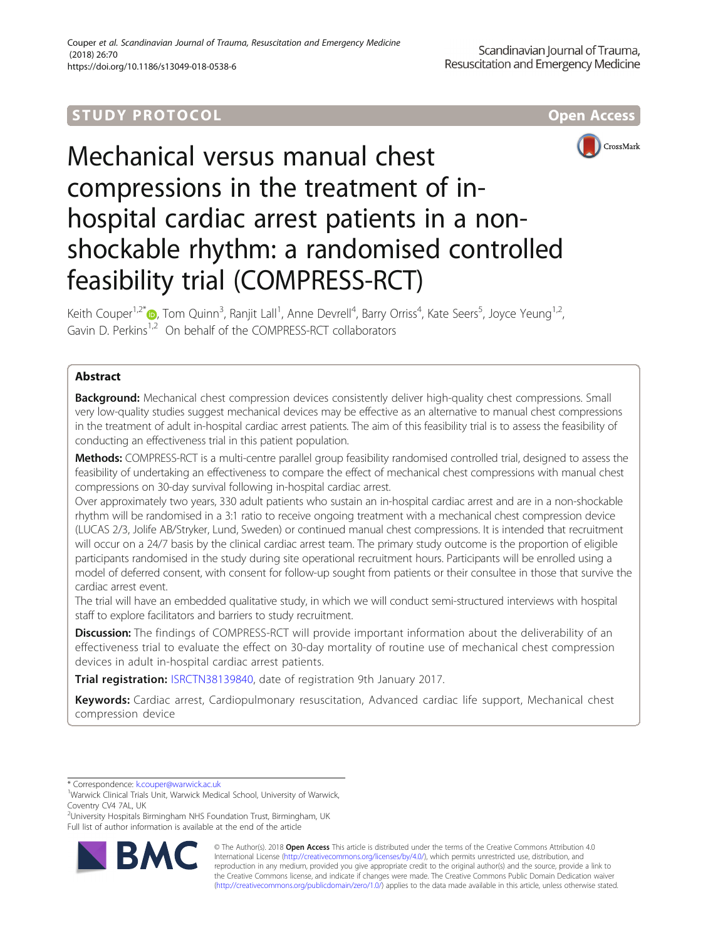## **STUDY PROTOCOL** And the set of the set of the set of the set of the set of the set of the set of the set of the set of the set of the set of the set of the set of the set of the set of the set of the set of the set of the





# Mechanical versus manual chest compressions in the treatment of inhospital cardiac arrest patients in a nonshockable rhythm: a randomised controlled feasibility trial (COMPRESS-RCT)

Keith Couper<sup>1,2[\\*](http://orcid.org/0000-0003-2123-2022)</sup> , Tom Quinn<sup>3</sup>, Ranjit Lall<sup>1</sup>, Anne Devrell<sup>4</sup>, Barry Orriss<sup>4</sup>, Kate Seers<sup>5</sup>, Joyce Yeung<sup>1,2</sup>, Gavin D. Perkins<sup>1,2</sup> On behalf of the COMPRESS-RCT collaborators

### Abstract

**Background:** Mechanical chest compression devices consistently deliver high-quality chest compressions. Small very low-quality studies suggest mechanical devices may be effective as an alternative to manual chest compressions in the treatment of adult in-hospital cardiac arrest patients. The aim of this feasibility trial is to assess the feasibility of conducting an effectiveness trial in this patient population.

Methods: COMPRESS-RCT is a multi-centre parallel group feasibility randomised controlled trial, designed to assess the feasibility of undertaking an effectiveness to compare the effect of mechanical chest compressions with manual chest compressions on 30-day survival following in-hospital cardiac arrest.

Over approximately two years, 330 adult patients who sustain an in-hospital cardiac arrest and are in a non-shockable rhythm will be randomised in a 3:1 ratio to receive ongoing treatment with a mechanical chest compression device (LUCAS 2/3, Jolife AB/Stryker, Lund, Sweden) or continued manual chest compressions. It is intended that recruitment will occur on a 24/7 basis by the clinical cardiac arrest team. The primary study outcome is the proportion of eligible participants randomised in the study during site operational recruitment hours. Participants will be enrolled using a model of deferred consent, with consent for follow-up sought from patients or their consultee in those that survive the cardiac arrest event.

The trial will have an embedded qualitative study, in which we will conduct semi-structured interviews with hospital staff to explore facilitators and barriers to study recruitment.

**Discussion:** The findings of COMPRESS-RCT will provide important information about the deliverability of an effectiveness trial to evaluate the effect on 30-day mortality of routine use of mechanical chest compression devices in adult in-hospital cardiac arrest patients.

Trial registration: [ISRCTN38139840](http://www.isrctn.com/ISRCTN38139840), date of registration 9th January 2017.

Keywords: Cardiac arrest, Cardiopulmonary resuscitation, Advanced cardiac life support, Mechanical chest compression device

<sup>2</sup> University Hospitals Birmingham NHS Foundation Trust, Birmingham, UK Full list of author information is available at the end of the article



© The Author(s). 2018 Open Access This article is distributed under the terms of the Creative Commons Attribution 4.0 International License [\(http://creativecommons.org/licenses/by/4.0/](http://creativecommons.org/licenses/by/4.0/)), which permits unrestricted use, distribution, and reproduction in any medium, provided you give appropriate credit to the original author(s) and the source, provide a link to the Creative Commons license, and indicate if changes were made. The Creative Commons Public Domain Dedication waiver [\(http://creativecommons.org/publicdomain/zero/1.0/](http://creativecommons.org/publicdomain/zero/1.0/)) applies to the data made available in this article, unless otherwise stated.

<sup>\*</sup> Correspondence: [k.couper@warwick.ac.uk](mailto:k.couper@warwick.ac.uk) <sup>1</sup>

<sup>&</sup>lt;sup>1</sup>Warwick Clinical Trials Unit, Warwick Medical School, University of Warwick, Coventry CV4 7AL, UK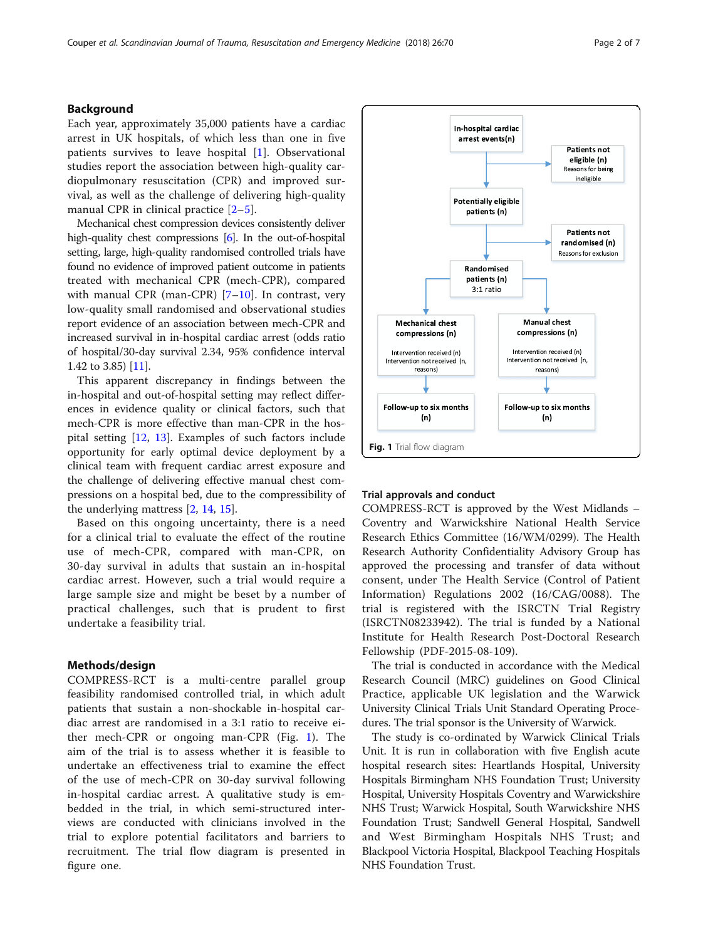#### Background

Each year, approximately 35,000 patients have a cardiac arrest in UK hospitals, of which less than one in five patients survives to leave hospital [\[1](#page-6-0)]. Observational studies report the association between high-quality cardiopulmonary resuscitation (CPR) and improved survival, as well as the challenge of delivering high-quality manual CPR in clinical practice [[2](#page-6-0)–[5\]](#page-6-0).

Mechanical chest compression devices consistently deliver high-quality chest compressions [\[6](#page-6-0)]. In the out-of-hospital setting, large, high-quality randomised controlled trials have found no evidence of improved patient outcome in patients treated with mechanical CPR (mech-CPR), compared with manual CPR (man-CPR)  $[7-10]$  $[7-10]$  $[7-10]$  $[7-10]$ . In contrast, very low-quality small randomised and observational studies report evidence of an association between mech-CPR and increased survival in in-hospital cardiac arrest (odds ratio of hospital/30-day survival 2.34, 95% confidence interval 1.42 to 3.85) [\[11\]](#page-6-0).

This apparent discrepancy in findings between the in-hospital and out-of-hospital setting may reflect differences in evidence quality or clinical factors, such that mech-CPR is more effective than man-CPR in the hospital setting [[12,](#page-6-0) [13](#page-6-0)]. Examples of such factors include opportunity for early optimal device deployment by a clinical team with frequent cardiac arrest exposure and the challenge of delivering effective manual chest compressions on a hospital bed, due to the compressibility of the underlying mattress [[2,](#page-6-0) [14,](#page-6-0) [15\]](#page-6-0).

Based on this ongoing uncertainty, there is a need for a clinical trial to evaluate the effect of the routine use of mech-CPR, compared with man-CPR, on 30-day survival in adults that sustain an in-hospital cardiac arrest. However, such a trial would require a large sample size and might be beset by a number of practical challenges, such that is prudent to first undertake a feasibility trial.

#### Methods/design

COMPRESS-RCT is a multi-centre parallel group feasibility randomised controlled trial, in which adult patients that sustain a non-shockable in-hospital cardiac arrest are randomised in a 3:1 ratio to receive either mech-CPR or ongoing man-CPR (Fig. 1). The aim of the trial is to assess whether it is feasible to undertake an effectiveness trial to examine the effect of the use of mech-CPR on 30-day survival following in-hospital cardiac arrest. A qualitative study is embedded in the trial, in which semi-structured interviews are conducted with clinicians involved in the trial to explore potential facilitators and barriers to recruitment. The trial flow diagram is presented in figure one.



#### Trial approvals and conduct

COMPRESS-RCT is approved by the West Midlands – Coventry and Warwickshire National Health Service Research Ethics Committee (16/WM/0299). The Health Research Authority Confidentiality Advisory Group has approved the processing and transfer of data without consent, under The Health Service (Control of Patient Information) Regulations 2002 (16/CAG/0088). The trial is registered with the ISRCTN Trial Registry (ISRCTN08233942). The trial is funded by a National Institute for Health Research Post-Doctoral Research Fellowship (PDF-2015-08-109).

The trial is conducted in accordance with the Medical Research Council (MRC) guidelines on Good Clinical Practice, applicable UK legislation and the Warwick University Clinical Trials Unit Standard Operating Procedures. The trial sponsor is the University of Warwick.

The study is co-ordinated by Warwick Clinical Trials Unit. It is run in collaboration with five English acute hospital research sites: Heartlands Hospital, University Hospitals Birmingham NHS Foundation Trust; University Hospital, University Hospitals Coventry and Warwickshire NHS Trust; Warwick Hospital, South Warwickshire NHS Foundation Trust; Sandwell General Hospital, Sandwell and West Birmingham Hospitals NHS Trust; and Blackpool Victoria Hospital, Blackpool Teaching Hospitals NHS Foundation Trust.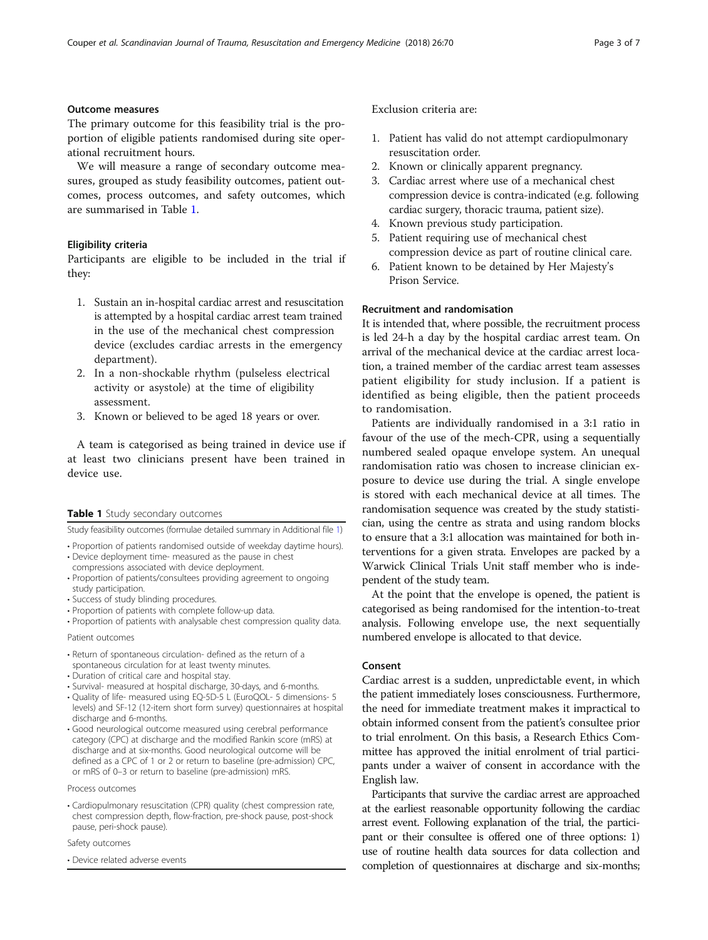#### Outcome measures

The primary outcome for this feasibility trial is the proportion of eligible patients randomised during site operational recruitment hours.

We will measure a range of secondary outcome measures, grouped as study feasibility outcomes, patient outcomes, process outcomes, and safety outcomes, which are summarised in Table 1.

#### Eligibility criteria

Participants are eligible to be included in the trial if they:

- 1. Sustain an in-hospital cardiac arrest and resuscitation is attempted by a hospital cardiac arrest team trained in the use of the mechanical chest compression device (excludes cardiac arrests in the emergency department).
- 2. In a non-shockable rhythm (pulseless electrical activity or asystole) at the time of eligibility assessment.
- 3. Known or believed to be aged 18 years or over.

A team is categorised as being trained in device use if at least two clinicians present have been trained in device use.

#### Table 1 Study secondary outcomes

Study feasibility outcomes (formulae detailed summary in Additional file [1](#page-5-0))

- Proportion of patients randomised outside of weekday daytime hours). • Device deployment time- measured as the pause in chest
- compressions associated with device deployment.
- Proportion of patients/consultees providing agreement to ongoing study participation.
- Success of study blinding procedures.
- Proportion of patients with complete follow-up data.
- Proportion of patients with analysable chest compression quality data. Patient outcomes

- Return of spontaneous circulation- defined as the return of a spontaneous circulation for at least twenty minutes.
- Duration of critical care and hospital stay.
- Survival- measured at hospital discharge, 30-days, and 6-months.
- Quality of life- measured using EQ-5D-5 L (EuroQOL- 5 dimensions- 5 levels) and SF-12 (12-item short form survey) questionnaires at hospital discharge and 6-months.
- Good neurological outcome measured using cerebral performance category (CPC) at discharge and the modified Rankin score (mRS) at discharge and at six-months. Good neurological outcome will be defined as a CPC of 1 or 2 or return to baseline (pre-admission) CPC, or mRS of 0–3 or return to baseline (pre-admission) mRS.

#### Process outcomes

• Cardiopulmonary resuscitation (CPR) quality (chest compression rate, chest compression depth, flow-fraction, pre-shock pause, post-shock pause, peri-shock pause).

Safety outcomes

• Device related adverse events

#### Exclusion criteria are:

- 1. Patient has valid do not attempt cardiopulmonary resuscitation order.
- 2. Known or clinically apparent pregnancy.
- 3. Cardiac arrest where use of a mechanical chest compression device is contra-indicated (e.g. following cardiac surgery, thoracic trauma, patient size).
- 4. Known previous study participation.
- 5. Patient requiring use of mechanical chest compression device as part of routine clinical care.
- 6. Patient known to be detained by Her Majesty's Prison Service.

#### Recruitment and randomisation

It is intended that, where possible, the recruitment process is led 24-h a day by the hospital cardiac arrest team. On arrival of the mechanical device at the cardiac arrest location, a trained member of the cardiac arrest team assesses patient eligibility for study inclusion. If a patient is identified as being eligible, then the patient proceeds to randomisation.

Patients are individually randomised in a 3:1 ratio in favour of the use of the mech-CPR, using a sequentially numbered sealed opaque envelope system. An unequal randomisation ratio was chosen to increase clinician exposure to device use during the trial. A single envelope is stored with each mechanical device at all times. The randomisation sequence was created by the study statistician, using the centre as strata and using random blocks to ensure that a 3:1 allocation was maintained for both interventions for a given strata. Envelopes are packed by a Warwick Clinical Trials Unit staff member who is independent of the study team.

At the point that the envelope is opened, the patient is categorised as being randomised for the intention-to-treat analysis. Following envelope use, the next sequentially numbered envelope is allocated to that device.

#### Consent

Cardiac arrest is a sudden, unpredictable event, in which the patient immediately loses consciousness. Furthermore, the need for immediate treatment makes it impractical to obtain informed consent from the patient's consultee prior to trial enrolment. On this basis, a Research Ethics Committee has approved the initial enrolment of trial participants under a waiver of consent in accordance with the English law.

Participants that survive the cardiac arrest are approached at the earliest reasonable opportunity following the cardiac arrest event. Following explanation of the trial, the participant or their consultee is offered one of three options: 1) use of routine health data sources for data collection and completion of questionnaires at discharge and six-months;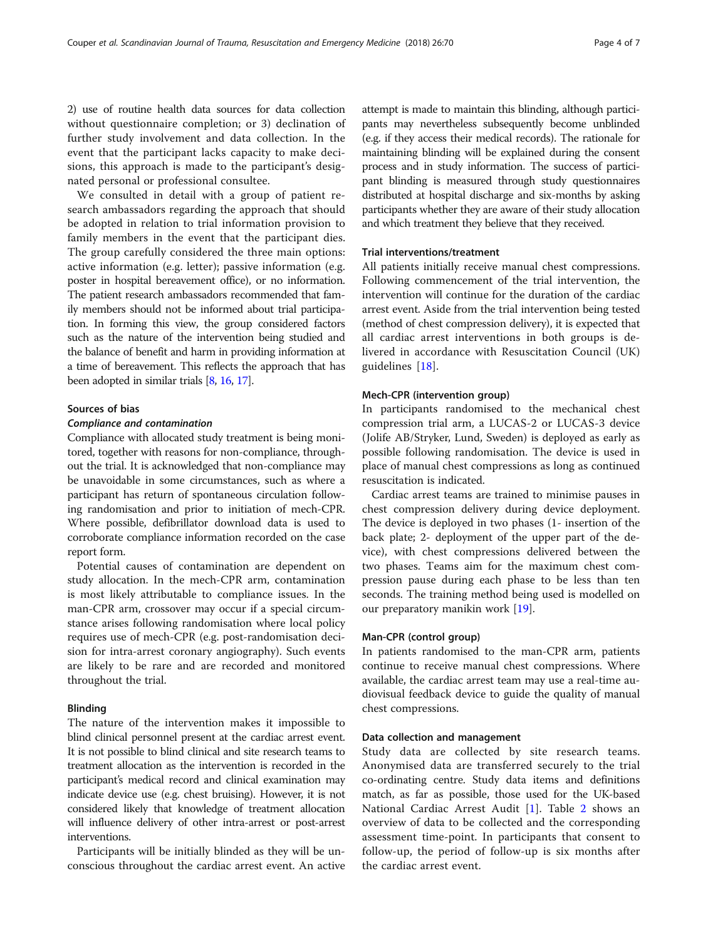2) use of routine health data sources for data collection without questionnaire completion; or 3) declination of

further study involvement and data collection. In the event that the participant lacks capacity to make decisions, this approach is made to the participant's designated personal or professional consultee.

We consulted in detail with a group of patient research ambassadors regarding the approach that should be adopted in relation to trial information provision to family members in the event that the participant dies. The group carefully considered the three main options: active information (e.g. letter); passive information (e.g. poster in hospital bereavement office), or no information. The patient research ambassadors recommended that family members should not be informed about trial participation. In forming this view, the group considered factors such as the nature of the intervention being studied and the balance of benefit and harm in providing information at a time of bereavement. This reflects the approach that has been adopted in similar trials [\[8,](#page-6-0) [16,](#page-6-0) [17\]](#page-6-0).

#### Sources of bias

#### Compliance and contamination

Compliance with allocated study treatment is being monitored, together with reasons for non-compliance, throughout the trial. It is acknowledged that non-compliance may be unavoidable in some circumstances, such as where a participant has return of spontaneous circulation following randomisation and prior to initiation of mech-CPR. Where possible, defibrillator download data is used to corroborate compliance information recorded on the case report form.

Potential causes of contamination are dependent on study allocation. In the mech-CPR arm, contamination is most likely attributable to compliance issues. In the man-CPR arm, crossover may occur if a special circumstance arises following randomisation where local policy requires use of mech-CPR (e.g. post-randomisation decision for intra-arrest coronary angiography). Such events are likely to be rare and are recorded and monitored throughout the trial.

#### Blinding

The nature of the intervention makes it impossible to blind clinical personnel present at the cardiac arrest event. It is not possible to blind clinical and site research teams to treatment allocation as the intervention is recorded in the participant's medical record and clinical examination may indicate device use (e.g. chest bruising). However, it is not considered likely that knowledge of treatment allocation will influence delivery of other intra-arrest or post-arrest interventions.

Participants will be initially blinded as they will be unconscious throughout the cardiac arrest event. An active attempt is made to maintain this blinding, although participants may nevertheless subsequently become unblinded (e.g. if they access their medical records). The rationale for maintaining blinding will be explained during the consent process and in study information. The success of participant blinding is measured through study questionnaires distributed at hospital discharge and six-months by asking participants whether they are aware of their study allocation and which treatment they believe that they received.

#### Trial interventions/treatment

All patients initially receive manual chest compressions. Following commencement of the trial intervention, the intervention will continue for the duration of the cardiac arrest event. Aside from the trial intervention being tested (method of chest compression delivery), it is expected that all cardiac arrest interventions in both groups is delivered in accordance with Resuscitation Council (UK) guidelines [[18\]](#page-6-0).

#### Mech-CPR (intervention group)

In participants randomised to the mechanical chest compression trial arm, a LUCAS-2 or LUCAS-3 device (Jolife AB/Stryker, Lund, Sweden) is deployed as early as possible following randomisation. The device is used in place of manual chest compressions as long as continued resuscitation is indicated.

Cardiac arrest teams are trained to minimise pauses in chest compression delivery during device deployment. The device is deployed in two phases (1- insertion of the back plate; 2- deployment of the upper part of the device), with chest compressions delivered between the two phases. Teams aim for the maximum chest compression pause during each phase to be less than ten seconds. The training method being used is modelled on our preparatory manikin work [\[19\]](#page-6-0).

#### Man-CPR (control group)

In patients randomised to the man-CPR arm, patients continue to receive manual chest compressions. Where available, the cardiac arrest team may use a real-time audiovisual feedback device to guide the quality of manual chest compressions.

#### Data collection and management

Study data are collected by site research teams. Anonymised data are transferred securely to the trial co-ordinating centre. Study data items and definitions match, as far as possible, those used for the UK-based National Cardiac Arrest Audit [\[1](#page-6-0)]. Table [2](#page-4-0) shows an overview of data to be collected and the corresponding assessment time-point. In participants that consent to follow-up, the period of follow-up is six months after the cardiac arrest event.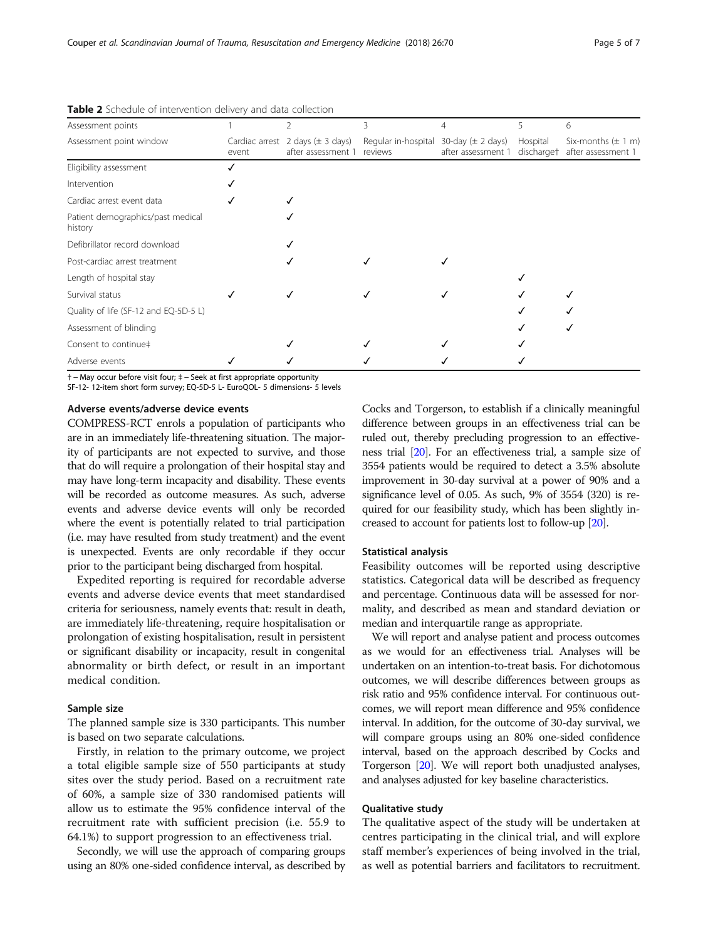| Assessment points                            |       |                                                            | 3                              |                                                     | 5        | 6                                                               |
|----------------------------------------------|-------|------------------------------------------------------------|--------------------------------|-----------------------------------------------------|----------|-----------------------------------------------------------------|
| Assessment point window                      | event | Cardiac arrest 2 days $(\pm 3$ days)<br>after assessment 1 | Regular in-hospital<br>reviews | 30-day $(\pm 2 \text{ days})$<br>after assessment 1 | Hospital | Six-months $(\pm 1 \text{ m})$<br>discharget after assessment 1 |
| Eligibility assessment                       |       |                                                            |                                |                                                     |          |                                                                 |
| Intervention                                 |       |                                                            |                                |                                                     |          |                                                                 |
| Cardiac arrest event data                    |       |                                                            |                                |                                                     |          |                                                                 |
| Patient demographics/past medical<br>history |       |                                                            |                                |                                                     |          |                                                                 |
| Defibrillator record download                |       |                                                            |                                |                                                     |          |                                                                 |
| Post-cardiac arrest treatment                |       |                                                            |                                |                                                     |          |                                                                 |
| Length of hospital stay                      |       |                                                            |                                |                                                     |          |                                                                 |
| Survival status                              |       |                                                            |                                |                                                     |          |                                                                 |
| Quality of life (SF-12 and EQ-5D-5 L)        |       |                                                            |                                |                                                     |          |                                                                 |
| Assessment of blinding                       |       |                                                            |                                |                                                     |          |                                                                 |
| Consent to continue‡                         |       |                                                            |                                |                                                     |          |                                                                 |
| Adverse events                               |       |                                                            |                                |                                                     |          |                                                                 |

<span id="page-4-0"></span>Table 2 Schedule of intervention delivery and data collection

† − May occur before visit four; ‡ − Seek at first appropriate opportunity

SF-12- 12-item short form survey; EQ-5D-5 L- EuroQOL- 5 dimensions- 5 levels

#### Adverse events/adverse device events

COMPRESS-RCT enrols a population of participants who are in an immediately life-threatening situation. The majority of participants are not expected to survive, and those that do will require a prolongation of their hospital stay and may have long-term incapacity and disability. These events will be recorded as outcome measures. As such, adverse events and adverse device events will only be recorded where the event is potentially related to trial participation (i.e. may have resulted from study treatment) and the event is unexpected. Events are only recordable if they occur prior to the participant being discharged from hospital.

Expedited reporting is required for recordable adverse events and adverse device events that meet standardised criteria for seriousness, namely events that: result in death, are immediately life-threatening, require hospitalisation or prolongation of existing hospitalisation, result in persistent or significant disability or incapacity, result in congenital abnormality or birth defect, or result in an important medical condition.

#### Sample size

The planned sample size is 330 participants. This number is based on two separate calculations.

Firstly, in relation to the primary outcome, we project a total eligible sample size of 550 participants at study sites over the study period. Based on a recruitment rate of 60%, a sample size of 330 randomised patients will allow us to estimate the 95% confidence interval of the recruitment rate with sufficient precision (i.e. 55.9 to 64.1%) to support progression to an effectiveness trial.

Secondly, we will use the approach of comparing groups using an 80% one-sided confidence interval, as described by Cocks and Torgerson, to establish if a clinically meaningful difference between groups in an effectiveness trial can be ruled out, thereby precluding progression to an effectiveness trial [\[20\]](#page-6-0). For an effectiveness trial, a sample size of 3554 patients would be required to detect a 3.5% absolute improvement in 30-day survival at a power of 90% and a significance level of 0.05. As such, 9% of 3554 (320) is required for our feasibility study, which has been slightly increased to account for patients lost to follow-up [[20](#page-6-0)].

#### Statistical analysis

Feasibility outcomes will be reported using descriptive statistics. Categorical data will be described as frequency and percentage. Continuous data will be assessed for normality, and described as mean and standard deviation or median and interquartile range as appropriate.

We will report and analyse patient and process outcomes as we would for an effectiveness trial. Analyses will be undertaken on an intention-to-treat basis. For dichotomous outcomes, we will describe differences between groups as risk ratio and 95% confidence interval. For continuous outcomes, we will report mean difference and 95% confidence interval. In addition, for the outcome of 30-day survival, we will compare groups using an 80% one-sided confidence interval, based on the approach described by Cocks and Torgerson [[20](#page-6-0)]. We will report both unadjusted analyses, and analyses adjusted for key baseline characteristics.

#### Qualitative study

The qualitative aspect of the study will be undertaken at centres participating in the clinical trial, and will explore staff member's experiences of being involved in the trial, as well as potential barriers and facilitators to recruitment.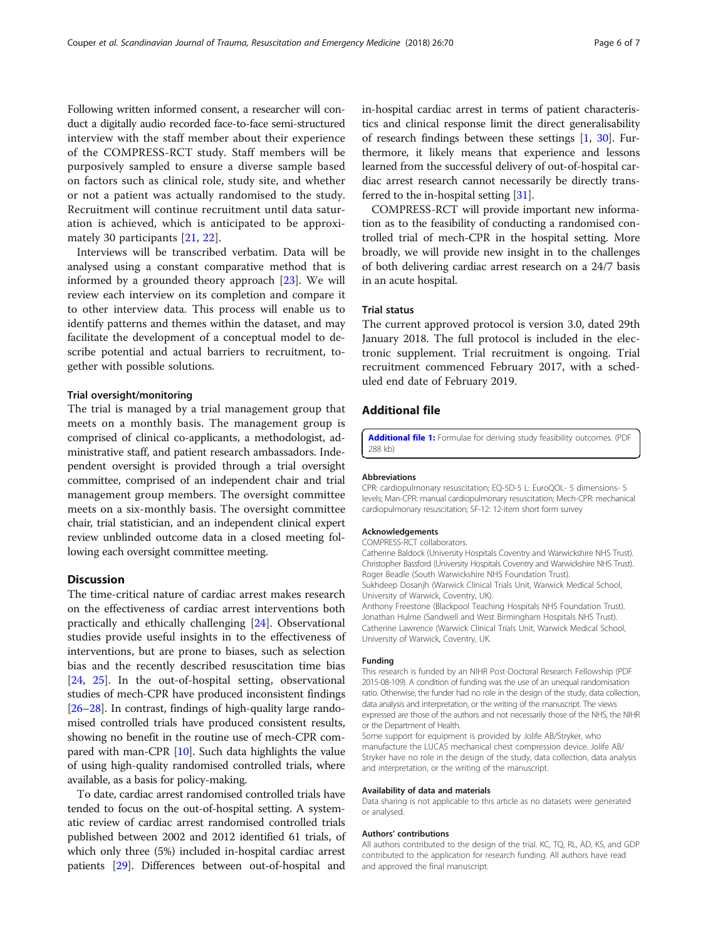<span id="page-5-0"></span>Following written informed consent, a researcher will conduct a digitally audio recorded face-to-face semi-structured interview with the staff member about their experience of the COMPRESS-RCT study. Staff members will be purposively sampled to ensure a diverse sample based on factors such as clinical role, study site, and whether or not a patient was actually randomised to the study. Recruitment will continue recruitment until data saturation is achieved, which is anticipated to be approximately 30 participants [[21,](#page-6-0) [22\]](#page-6-0).

Interviews will be transcribed verbatim. Data will be analysed using a constant comparative method that is informed by a grounded theory approach [\[23](#page-6-0)]. We will review each interview on its completion and compare it to other interview data. This process will enable us to identify patterns and themes within the dataset, and may facilitate the development of a conceptual model to describe potential and actual barriers to recruitment, together with possible solutions.

#### Trial oversight/monitoring

The trial is managed by a trial management group that meets on a monthly basis. The management group is comprised of clinical co-applicants, a methodologist, administrative staff, and patient research ambassadors. Independent oversight is provided through a trial oversight committee, comprised of an independent chair and trial management group members. The oversight committee meets on a six-monthly basis. The oversight committee chair, trial statistician, and an independent clinical expert review unblinded outcome data in a closed meeting following each oversight committee meeting.

#### Discussion

The time-critical nature of cardiac arrest makes research on the effectiveness of cardiac arrest interventions both practically and ethically challenging [[24\]](#page-6-0). Observational studies provide useful insights in to the effectiveness of interventions, but are prone to biases, such as selection bias and the recently described resuscitation time bias [[24,](#page-6-0) [25\]](#page-6-0). In the out-of-hospital setting, observational studies of mech-CPR have produced inconsistent findings [[26](#page-6-0)–[28\]](#page-6-0). In contrast, findings of high-quality large randomised controlled trials have produced consistent results, showing no benefit in the routine use of mech-CPR compared with man-CPR [\[10\]](#page-6-0). Such data highlights the value of using high-quality randomised controlled trials, where available, as a basis for policy-making.

To date, cardiac arrest randomised controlled trials have tended to focus on the out-of-hospital setting. A systematic review of cardiac arrest randomised controlled trials published between 2002 and 2012 identified 61 trials, of which only three (5%) included in-hospital cardiac arrest patients [[29](#page-6-0)]. Differences between out-of-hospital and

in-hospital cardiac arrest in terms of patient characteristics and clinical response limit the direct generalisability of research findings between these settings  $[1, 30]$  $[1, 30]$  $[1, 30]$ . Furthermore, it likely means that experience and lessons learned from the successful delivery of out-of-hospital cardiac arrest research cannot necessarily be directly transferred to the in-hospital setting [[31](#page-6-0)].

COMPRESS-RCT will provide important new information as to the feasibility of conducting a randomised controlled trial of mech-CPR in the hospital setting. More broadly, we will provide new insight in to the challenges of both delivering cardiac arrest research on a 24/7 basis in an acute hospital.

#### Trial status

The current approved protocol is version 3.0, dated 29th January 2018. The full protocol is included in the electronic supplement. Trial recruitment is ongoing. Trial recruitment commenced February 2017, with a scheduled end date of February 2019.

#### Additional file

[Additional file 1:](https://doi.org/10.1186/s13049-018-0538-6) Formulae for deriving study feasibility outcomes. (PDF 288 kb)

#### **Abbreviations**

CPR: cardiopulmonary resuscitation; EQ-5D-5 L: EuroQOL- 5 dimensions- 5 levels; Man-CPR: manual cardiopulmonary resuscitation; Mech-CPR: mechanical cardiopulmonary resuscitation; SF-12: 12-item short form survey

#### Acknowledgements

COMPRESS-RCT collaborators.

Catherine Baldock (University Hospitals Coventry and Warwickshire NHS Trust). Christopher Bassford (University Hospitals Coventry and Warwickshire NHS Trust). Roger Beadle (South Warwickshire NHS Foundation Trust). Sukhdeep Dosanjh (Warwick Clinical Trials Unit, Warwick Medical School,

University of Warwick, Coventry, UK).

Anthony Freestone (Blackpool Teaching Hospitals NHS Foundation Trust). Jonathan Hulme (Sandwell and West Birmingham Hospitals NHS Trust). Catherine Lawrence (Warwick Clinical Trials Unit, Warwick Medical School, University of Warwick, Coventry, UK.

#### Funding

This research is funded by an NIHR Post-Doctoral Research Fellowship (PDF 2015-08-109). A condition of funding was the use of an unequal randomisation ratio. Otherwise, the funder had no role in the design of the study, data collection, data analysis and interpretation, or the writing of the manuscript. The views expressed are those of the authors and not necessarily those of the NHS, the NIHR or the Department of Health.

Some support for equipment is provided by Jolife AB/Stryker, who manufacture the LUCAS mechanical chest compression device. Jolife AB/ Stryker have no role in the design of the study, data collection, data analysis and interpretation, or the writing of the manuscript.

#### Availability of data and materials

Data sharing is not applicable to this article as no datasets were generated or analysed.

#### Authors' contributions

All authors contributed to the design of the trial. KC, TQ, RL, AD, KS, and GDP contributed to the application for research funding. All authors have read and approved the final manuscript.